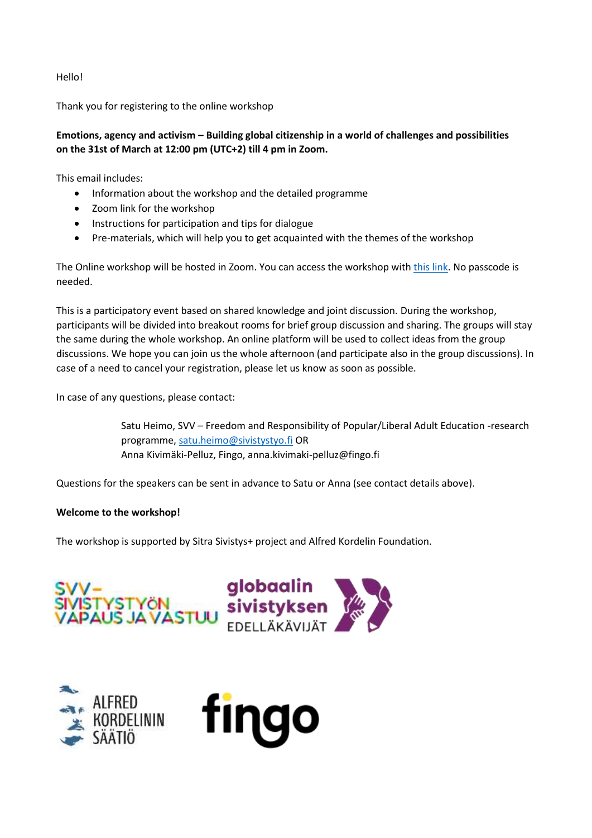Hello!

Thank you for registering to the online workshop

# **Emotions, agency and activism – Building global citizenship in a world of challenges and possibilities on the 31st of March at 12:00 pm (UTC+2) till 4 pm in Zoom.**

This email includes:

- Information about the workshop and the detailed programme
- Zoom link for the workshop
- Instructions for participation and tips for dialogue
- Pre-materials, which will help you to get acquainted with the themes of the workshop

The Online workshop will be hosted in Zoom. You can access the workshop with [this link.](https://fingo.zoom.us/j/88532688484) No passcode is needed.

This is a participatory event based on shared knowledge and joint discussion. During the workshop, participants will be divided into breakout rooms for brief group discussion and sharing. The groups will stay the same during the whole workshop. An online platform will be used to collect ideas from the group discussions. We hope you can join us the whole afternoon (and participate also in the group discussions). In case of a need to cancel your registration, please let us know as soon as possible.

In case of any questions, please contact:

Satu Heimo, SVV – Freedom and Responsibility of Popular/Liberal Adult Education -research programme, [satu.heimo@sivistystyo.fi](mailto:satu.heimo@sivistystyo.fi) OR Anna Kivimäki-Pelluz, Fingo, anna.kivimaki-pelluz@fingo.fi

Questions for the speakers can be sent in advance to Satu or Anna (see contact details above).

## **Welcome to the workshop!**

The workshop is supported by Sitra Sivistys+ project and Alfred Kordelin Foundation.





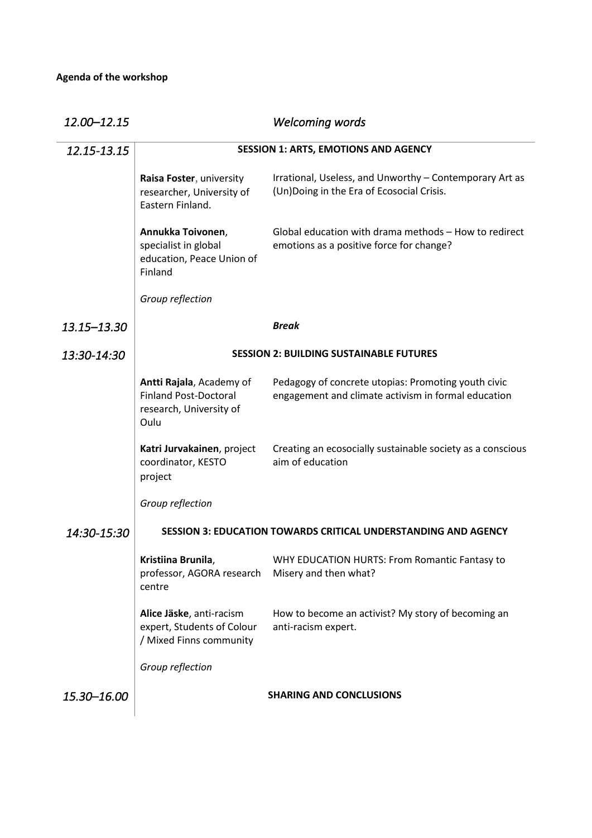| 12.00-12.15 |                                                                                             | <b>Welcoming words</b>                                                                                     |
|-------------|---------------------------------------------------------------------------------------------|------------------------------------------------------------------------------------------------------------|
| 12.15-13.15 | <b>SESSION 1: ARTS, EMOTIONS AND AGENCY</b>                                                 |                                                                                                            |
|             | Raisa Foster, university<br>researcher, University of<br>Eastern Finland.                   | Irrational, Useless, and Unworthy - Contemporary Art as<br>(Un)Doing in the Era of Ecosocial Crisis.       |
|             | Annukka Toivonen,<br>specialist in global<br>education, Peace Union of<br>Finland           | Global education with drama methods - How to redirect<br>emotions as a positive force for change?          |
|             | Group reflection                                                                            |                                                                                                            |
| 13.15–13.30 |                                                                                             | <b>Break</b>                                                                                               |
| 13:30-14:30 | <b>SESSION 2: BUILDING SUSTAINABLE FUTURES</b>                                              |                                                                                                            |
|             | Antti Rajala, Academy of<br><b>Finland Post-Doctoral</b><br>research, University of<br>Oulu | Pedagogy of concrete utopias: Promoting youth civic<br>engagement and climate activism in formal education |
|             | Katri Jurvakainen, project<br>coordinator, KESTO<br>project                                 | Creating an ecosocially sustainable society as a conscious<br>aim of education                             |
|             | Group reflection                                                                            |                                                                                                            |
| 14:30-15:30 | <b>SESSION 3: EDUCATION TOWARDS CRITICAL UNDERSTANDING AND AGENCY</b>                       |                                                                                                            |
|             | Kristiina Brunila,<br>professor, AGORA research<br>centre                                   | WHY EDUCATION HURTS: From Romantic Fantasy to<br>Misery and then what?                                     |
|             | Alice Jäske, anti-racism<br>expert, Students of Colour<br>/ Mixed Finns community           | How to become an activist? My story of becoming an<br>anti-racism expert.                                  |
|             | Group reflection                                                                            |                                                                                                            |
| 15.30-16.00 |                                                                                             | <b>SHARING AND CONCLUSIONS</b>                                                                             |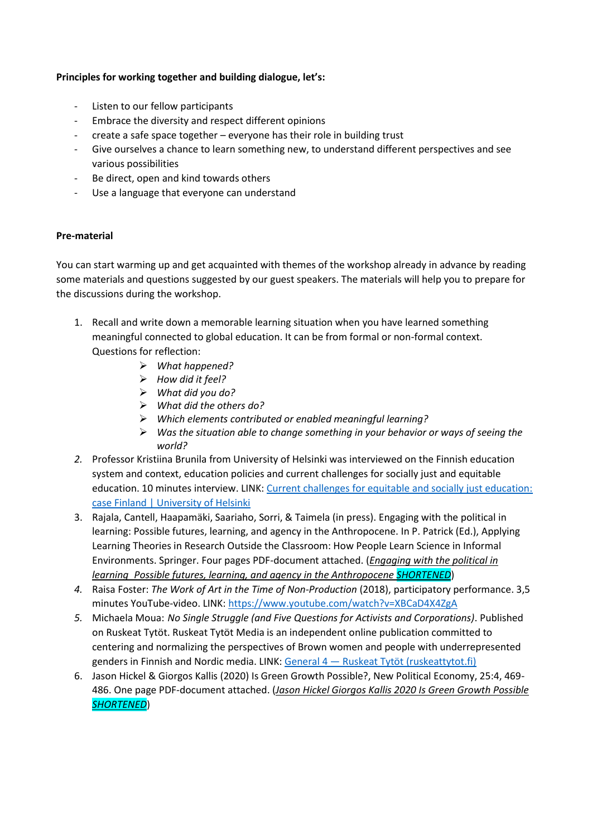## **Principles for working together and building dialogue, let's:**

- Listen to our fellow participants
- Embrace the diversity and respect different opinions
- create a safe space together everyone has their role in building trust
- Give ourselves a chance to learn something new, to understand different perspectives and see various possibilities
- Be direct, open and kind towards others
- Use a language that everyone can understand

## **Pre-material**

You can start warming up and get acquainted with themes of the workshop already in advance by reading some materials and questions suggested by our guest speakers. The materials will help you to prepare for the discussions during the workshop.

- 1. Recall and write down a memorable learning situation when you have learned something meaningful connected to global education. It can be from formal or non-formal context. Questions for reflection:
	- ➢ *What happened?*
	- ➢ *How did it feel?*
	- ➢ *What did you do?*
	- ➢ *What did the others do?*
	- ➢ *Which elements contributed or enabled meaningful learning?*
	- ➢ *Was the situation able to change something in your behavior or ways of seeing the world?*
- *2.* Professor Kristiina Brunila from University of Helsinki was interviewed on the Finnish education system and context, education policies and current challenges for socially just and equitable education. 10 minutes interview. LINK: [Current challenges for equitable and socially just education:](https://www2.helsinki.fi/en/news/education-news/current-challenges-for-equitable-and-socially-just-education-case-finland)  [case Finland | University of Helsinki](https://www2.helsinki.fi/en/news/education-news/current-challenges-for-equitable-and-socially-just-education-case-finland)
- 3. Rajala, Cantell, Haapamäki, Saariaho, Sorri, & Taimela (in press). Engaging with the political in learning: Possible futures, learning, and agency in the Anthropocene. In P. Patrick (Ed.), Applying Learning Theories in Research Outside the Classroom: How People Learn Science in Informal Environments. Springer. Four pages PDF-document attached. (*Engaging with the political in learning\_Possible futures, learning, and agency in the Anthropocene SHORTENED*)
- *4.* Raisa Foster: *The Work of Art in the Time of Non-Production* (2018), participatory performance. 3,5 minutes YouTube-video. LINK: <https://www.youtube.com/watch?v=XBCaD4X4ZgA>
- *5.* Michaela Moua: *No Single Struggle (and Five Questions for Activists and Corporations)*. Published on Ruskeat Tytöt. Ruskeat Tytöt Media is an independent online publication committed to centering and normalizing the perspectives of Brown women and people with underrepresented genders in Finnish and Nordic media. LINK: General 4 — [Ruskeat Tytöt \(ruskeattytot.fi\)](https://www.ruskeattytot.fi/no-single-struggle-and-five-questions)
- 6. Jason Hickel & Giorgos Kallis (2020) Is Green Growth Possible?, New Political Economy, 25:4, 469- 486. One page PDF-document attached. (*Jason Hickel Giorgos Kallis 2020 Is Green Growth Possible SHORTENED*)